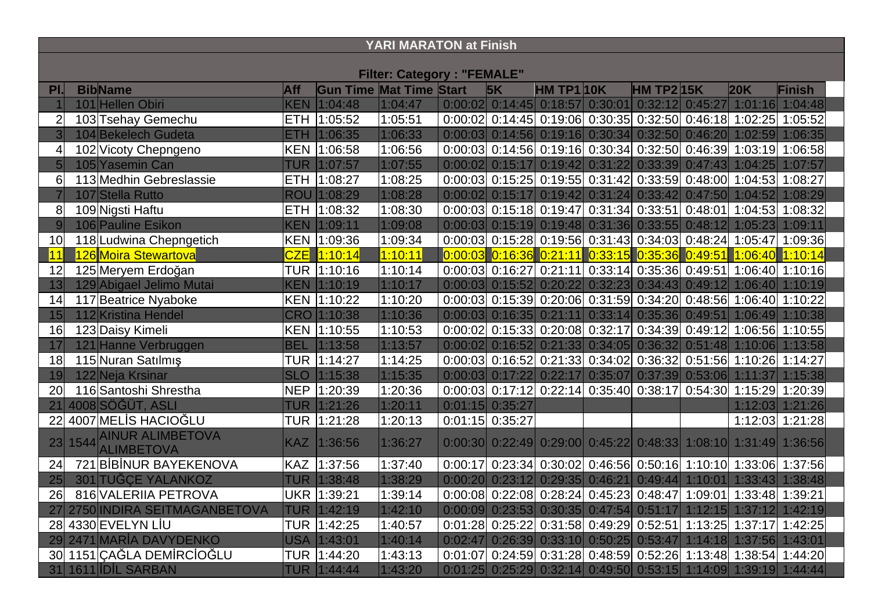## **YARI MARATON at Finish**

| <b>Filter: Category: "FEMALE"</b> |      |                                              |            |                                |         |                     |                   |                                                                 |         |                   |         |                                     |                 |
|-----------------------------------|------|----------------------------------------------|------------|--------------------------------|---------|---------------------|-------------------|-----------------------------------------------------------------|---------|-------------------|---------|-------------------------------------|-----------------|
| PI.                               |      | <b>Bib</b> Name                              | <b>Aff</b> | <b>Gun Time Mat Time Start</b> |         |                     | 5K                | $HM$ TP1 10K                                                    |         | <b>HM TP2 15K</b> |         | <b>20K</b>                          | Finish          |
|                                   |      | 101 Hellen Obiri                             | <b>KEN</b> | 1:04:48                        | 1:04:47 |                     |                   | $[0.00:02]$ 0:14:45 0:18:57 0:30:01                             |         |                   |         | $0:32:12$ $0:45:27$ 1:01:16 1:04:48 |                 |
| $\overline{2}$                    |      | 103 Tsehay Gemechu                           | <b>ETH</b> | 1:05:52                        | 1:05:51 |                     |                   | $0.00:02$ 0:14:45 0:19:06 0:30:35 0:32:50 0:46:18 1:02:25       |         |                   |         |                                     | 1:05:52         |
| 3                                 |      | 104 Bekelech Gudeta                          | <b>ETH</b> | 1:06:35                        | 1:06:33 | 0:00:03             | 0:14:56           | $0:19:16$ $0:30:34$                                             |         | 0:32:50           | 0:46:20 | 1:02:59                             | 1:06:35         |
| 4                                 |      | 102 Vicoty Chepngeno                         | <b>KEN</b> | 1:06:58                        | 1:06:56 |                     |                   | $0:00:03$ 0:14:56 0:19:16 0:30:34                               |         | 0:32:50           | 0:46:39 | 1:03:19                             | 1:06:58         |
| $5\overline{)}$                   |      | 105 Yasemin Can                              | <b>TUR</b> | 1:07:57                        | 1:07:55 |                     | $0:00:02$ 0:15:17 | $0:19:42$ $0:31:22$ $0:33:39$ $0:47:43$                         |         |                   |         | 1:04:25                             | 1:07:57         |
| $6 \mid$                          |      | 113 Medhin Gebreslassie                      | <b>ETH</b> | 1:08:27                        | 1:08:25 |                     |                   | $0.00:03$ 0:15:25 0:19:55 0:31:42 0:33:59 0:48:00 1:04:53       |         |                   |         |                                     | 1:08:27         |
|                                   |      | 107 Stella Rutto                             |            | ROU 1:08:29                    | 1:08:28 |                     |                   | $[0.00002]$ 0:15:17 0:19:42 0:31:24 0:33:42 0:47:50             |         |                   |         | 1:04:52                             | 1:08:29         |
| 8 <sup>1</sup>                    |      | 109 Nigsti Haftu                             | <b>ETH</b> | 1:08:32                        | 1:08:30 |                     |                   | $0:00:03$ 0:15:18 0:19:47 0:31:34 0:33:51 0:48:01               |         |                   |         |                                     | 1:04:53 1:08:32 |
| 9                                 |      | 106 Pauline Esikon                           | <b>KEN</b> | 1:09:11                        | 1:09:08 | 0:00:03             |                   | $0:15:19$ 0:19:48 0:31:36                                       |         | 0:33:55           | 0:48:12 | 1:05:23                             | 1:09:11         |
| 10                                |      | 118 Ludwina Chepngetich                      | <b>KEN</b> | 1:09:36                        | 1:09:34 |                     |                   | $0:00:03$ 0:15:28 0:19:56 0:31:43 0:34:03 0:48:24               |         |                   |         | 1:05:47                             | 1:09:36         |
| $\vert$ 11                        |      | 126 Moira Stewartova                         | <b>CZE</b> | 1:10:14                        | 1:10:11 |                     |                   | 0:00:03 0:16:36 0:21:11 0:33:15 0:35:36 0:49:51 1:06:40 1:10:14 |         |                   |         |                                     |                 |
| 12                                |      | 125 Meryem Erdoğan                           |            | TUR 1:10:16                    | 1:10:14 |                     |                   | 0:00:03 0:16:27 0:21:11 0:33:14 0:35:36 0:49:51 1:06:40 1:10:16 |         |                   |         |                                     |                 |
| 13                                |      | 129 Abigael Jelimo Mutai                     | <b>KEN</b> | 1:10:19                        | 1:10:17 |                     |                   | $[0.00:03]$ 0:15:52 0:20:22 0:32:23 0:34:43 0:49:12 1:06:40     |         |                   |         |                                     | 1:10:19         |
| 14                                |      | 117 Beatrice Nyaboke                         |            | KEN 1:10:22                    | 1:10:20 |                     |                   | $0:00:03$ 0:15:39 0:20:06 0:31:59                               |         |                   |         | 0:34:20 0:48:56 1:06:40 1:10:22     |                 |
| 15                                |      | 112 Kristina Hendel                          |            | CRO 1:10:38                    | 1:10:36 |                     | $0:00:03$ 0:16:35 | 0:21:11                                                         | 0:33:14 | 0:35:36           | 0:49:51 | 1:06:49                             | 1:10:38         |
| 16                                |      | 123 Daisy Kimeli                             | KEN        | 1:10:55                        | 1:10:53 | 0:00:02             | 0:15:33           | $0:20:08$ $0:32:17$                                             |         | 0:34:39           | 0:49:12 | 1:06:56                             | 1:10:55         |
| 17                                |      | 121 Hanne Verbruggen                         | <b>BEL</b> | 1:13:58                        | 1:13:57 |                     |                   | $0:00:02$ 0:16:52 0:21:33 0:34:05                               |         |                   |         | $0:36:32$ $0:51:48$ 1:10:06         | 1:13:58         |
| 18                                |      | 115 Nuran Satılmış                           | <b>TUR</b> | 1:14:27                        | 1:14:25 |                     |                   | $0:00:03$ 0:16:52 0:21:33 0:34:02                               |         |                   |         | 0:36:32 0:51:56 1:10:26 1:14:27     |                 |
| 19                                |      | 122 Neja Krsinar                             | <b>SLO</b> | 1:15:38                        | 1:15:35 |                     |                   | $[0.00:03]$ 0:17:22 0:22:17 0:35:07 0:37:39 0:53:06             |         |                   |         | 1:11:37                             | 1:15:38         |
| 20                                |      | 116 Santoshi Shrestha                        | <b>NEP</b> | 1:20:39                        | 1:20:36 |                     |                   | $0:00:03$ 0:17:12 0:22:14 0:35:40                               |         | $0:38:17$ 0:54:30 |         | 1:15:29                             | 1:20:39         |
| 21                                |      | 4008 SÖĞÜT, ASLI                             | <b>TUR</b> | 1:21:26                        | 1:20:11 | $0:01:15$ $0:35:27$ |                   |                                                                 |         |                   |         | 1:12:03                             | 1:21:26         |
| 22                                |      | 4007 MELIS HACIOĞLU                          |            | TUR   1:21:28                  | 1:20:13 |                     | $0:01:15$ 0:35:27 |                                                                 |         |                   |         |                                     | 1:12:03 1:21:28 |
| 23                                | 1544 | <b>AINUR ALIMBETOVA</b><br><b>ALIMBETOVA</b> | <b>KAZ</b> | 1:36:56                        | 1:36:27 |                     |                   | $0:00:30$ 0:22:49 0:29:00 0:45:22                               |         | 0:48:33           | 1:08:10 | 1:31:49                             | 1:36:56         |
| 24                                |      | 721 BIBINUR BAYEKENOVA                       | <b>KAZ</b> | 1:37:56                        | 1:37:40 | 0:00:17             |                   | $0:23:34$ 0:30:02 0:46:56 0:50:16 1:10:10 1:33:06               |         |                   |         |                                     | 1:37:56         |
| 25                                |      | 301 TUĞÇE YALANKOZ                           | <b>TUR</b> | 1:38:48                        | 1:38:29 | 0:00:20             |                   | $0:23:12$ 0:29:35 0:46:21                                       |         | 0:49:44           | 1:10:01 | 1:33:43                             | 1:38:48         |
| 26                                |      | 816 VALERIIA PETROVA                         | <b>UKR</b> | 1:39:21                        | 1:39:14 |                     | $0:00:08$ 0:22:08 | $0:28:24$ 0:45:23                                               |         | $0:48:47$ 1:09:01 |         | 1:33:48                             | 1:39:21         |
| 27                                |      | 2750 INDIRA SEITMAGANBETOVA                  | <b>TUR</b> | 1:42:19                        | 1:42:10 | 0:00:09             | 0:23:53           | $0:30:35$ 0:47:54 0:51:17                                       |         |                   | 1:12:15 | 1:37:12                             | 1:42:19         |
| 28                                |      | 4330 EVELYN LİU                              | <b>TUR</b> | 1:42:25                        | 1:40:57 |                     |                   | $0:01:28$ 0:25:22 0:31:58 0:49:29 0:52:51                       |         |                   | 1:13:25 | 1:37:17                             | 1:42:25         |
| 29                                |      | 2471 MARÍA DAVYDENKO                         | <b>USA</b> | 1:43:01                        | 1:40:14 | 0:02:47             |                   | $0.26:39$ $0.33:10$ $0.50:25$ $0.53:47$                         |         |                   | 1:14:18 | 1:37:56                             | 1:43:01         |
|                                   |      | 30 1151 ÇAĞLA DEMIRCIOĞLU                    | <b>TUR</b> | 1:44:20                        | 1:43:13 |                     |                   | $0.01:07$ 0:24:59 0:31:28 0:48:59 0:52:26 1:13:48 1:38:54       |         |                   |         |                                     | 1:44:20         |
| 31                                |      | 1611 <b>IDIL SARBAN</b>                      | <b>TUR</b> | 1:44:44                        | 1:43:20 |                     |                   | $0.01:25$ 0:25:29 0:32:14 0:49:50 0:53:15 1:14:09 1:39:19       |         |                   |         |                                     | 1:44:44         |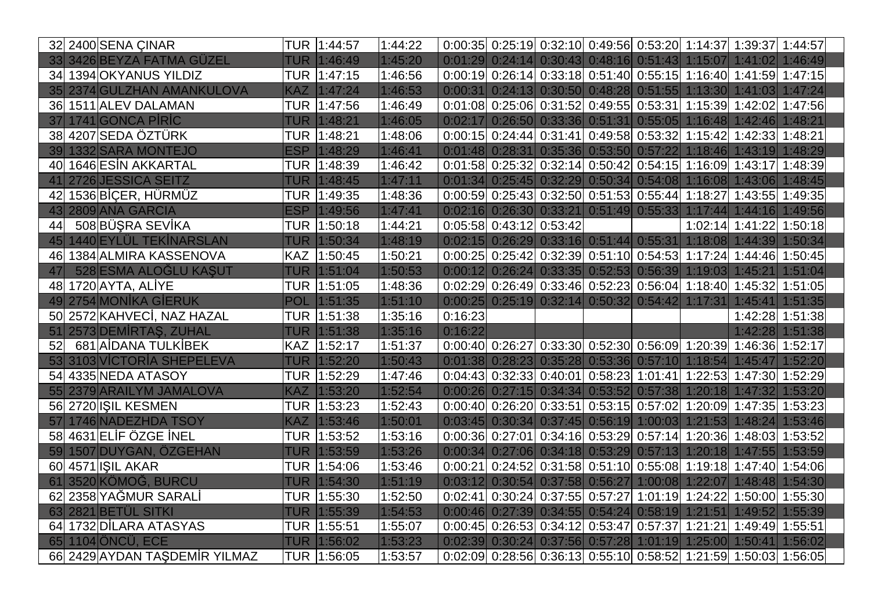| 2400 SENA CINAR<br>32 <sub>l</sub>         | TUR  1:44:57          | 1:44:22 | $0.00:35$ 0:25:19 0:32:10 0:49:56 0:53:20 1:14:37 1:39:37 1:44:57                               |                           |                                                           |                         |         |
|--------------------------------------------|-----------------------|---------|-------------------------------------------------------------------------------------------------|---------------------------|-----------------------------------------------------------|-------------------------|---------|
| 33 3426 BEYZA FATMA GÜZEL                  | 1:46:49<br><b>TUR</b> | 1:45:20 | 0:01:29 0:24:14 0:30:43 0:48:16 0:51:43 1:15:07 1:41:02 1:46:49                                 |                           |                                                           |                         |         |
| 34 1394 OKYANUS YILDIZ                     | TUR 1:47:15           | 1:46:56 | $0.00:19$ 0:26:14 0:33:18 0:51:40 0:55:15 1:16:40 1:41:59 1:47:15                               |                           |                                                           |                         |         |
| 2374 GULZHAN AMANKULOVA<br>35 <sub>1</sub> | KAZ 1:47:24           | 1:46:53 | 0:00:31 0:24:13 0:30:50 0:48:28 0:51:55 1:13:30 1:41:03 1:47:24                                 |                           |                                                           |                         |         |
| 1511 ALEV DALAMAN<br>36 <sup>l</sup>       | TUR   1:47:56         | 1:46:49 | 0:01:08 0:25:06 0:31:52 0:49:55 0:53:31 1:15:39 1:42:02 1:47:56                                 |                           |                                                           |                         |         |
| 1741 GONCA PIRIC<br>37 <sup>1</sup>        | TUR 1:48:21           | 1:46:05 | $0.02:17$ 0:26:50 0:33:36 0:51:31 0:55:05 1:16:48 1:42:46 1:48:21                               |                           |                                                           |                         |         |
| 38 4207 SEDA ÖZTÜRK                        | TUR<br>1:48:21        | 1:48:06 | $0.00:15$ 0:24:44 0:31:41 0:49:58 0:53:32 1:15:42 1:42:33 1:48:21                               |                           |                                                           |                         |         |
| 1332 SARA MONTEJO<br>39                    | <b>ESP</b><br>1:48:29 | 1:46:41 | $0.01:48$ 0:28:31 0:35:36 0:53:50 0:57:22 1:18:46 1:43:19 1:48:29                               |                           |                                                           |                         |         |
| 1646 ESIN AKKARTAL<br>40                   | <b>TUR</b><br>1:48:39 | 1:46:42 | 0:01:58                                                                                         |                           | 0:25:32 0:32:14 0:50:42 0:54:15 1:16:09 1:43:17           |                         | 1:48:39 |
| 2726 JESSICA SEITZ<br>41                   | <b>TUR</b><br>1:48:45 | 1:47:11 | $0.01:34$ 0:25:45 0:32:29 0:50:34 0:54:08 1:16:08                                               |                           |                                                           | 1:43:06                 | 1:48:45 |
| 1536 BİÇER, HÜRMÜZ<br>42                   | TUR<br>1:49:35        | 1:48:36 | 0:00:59 0:25:43 0:32:50 0:51:53 0:55:44 1:18:27                                                 |                           |                                                           | 1:43:55                 | 1:49:35 |
| 2809 ANA GARCIA<br>43                      | <b>ESP</b><br>1:49:56 | 1:47:41 | $0.02:16$ 0:26:30 0:33:21 0:51:49 0:55:33 1:17:44 1:44:16                                       |                           |                                                           |                         | 1:49:56 |
| 508 BÜŞRA SEVİKA<br>44                     | TUR 1:50:18           | 1:44:21 | $0:05:58$ 0:43:12 0:53:42                                                                       |                           |                                                           | 1:02:14 1:41:22 1:50:18 |         |
| 1440 EYLÜL TEKİNARSLAN<br>45               | TUR 1:50:34           | 1:48:19 | 0:02:15 0:26:29 0:33:16 0:51:44 0:55:31 1:18:08 1:44:39 1:50:34                                 |                           |                                                           |                         |         |
| 1384 ALMIRA KASSENOVA<br>46                | KAZ   1:50:45         | 1:50:21 | $0:00:25$ 0:25:42 0:32:39 0:51:10 0:54:53 1:17:24 1:44:46 1:50:45                               |                           |                                                           |                         |         |
| 47<br>528 ESMA ALOĞLU KAŞUT                | <b>TUR</b><br>1:51:04 | 1:50:53 | $0.00:12$ 0.26:24 0.33:35 0.52:53 0.56:39 1.19:03 1.45:21                                       |                           |                                                           |                         | 1:51:04 |
| 1720 AYTA, ALİYE<br>48                     | TUR 1:51:05           | 1:48:36 | $0.02:29$ 0:26:49 0:33:46 0:52:23 0:56:04 1:18:40 1:45:32 1:51:05                               |                           |                                                           |                         |         |
| 2754 MONIKA GIERUK<br>49                   | <b>POL</b><br>1:51:35 | 1:51:10 | $0.00:25$ 0:25:19 0:32:14 0:50:32 0:54:42 1:17:31                                               |                           |                                                           | 1:45:41                 | 1:51:35 |
| 50 2572 KAHVECI, NAZ HAZAL                 | TUR<br>1:51:38        | 1:35:16 | 0:16:23                                                                                         |                           |                                                           | 1:42:28 1:51:38         |         |
| 51<br>2573 DEMIRTAS, ZUHAL                 | <b>TUR</b><br>1:51:38 | 1:35:16 | 0:16:22                                                                                         |                           |                                                           | 1:42:28                 | 1:51:38 |
| 52<br>681 AIDANA TULKIBEK                  | <b>KAZ</b><br>1:52:17 | 1:51:37 | $0:00:40$ $0:26:27$ $0:33:30$ $0:52:30$ $0:56:09$ 1:20:39 1:46:36 1:52:17                       |                           |                                                           |                         |         |
| 3103 VICTORIA SHEPELEVA<br>53              | <b>TUR</b><br>1:52:20 | 1:50:43 | $0.01:38$ 0:28:23 0:35:28 0:53:36 0:57:10 1:18:54 1:45:47 1:52:20                               |                           |                                                           |                         |         |
| 54 4335 NEDA ATASOY                        | TUR 1:52:29           | 1:47:46 | $[0.04:43]$ $[0.32:33]$ $[0.40:01]$ $[0.58:23]$ $[1.01:41]$ $[1.22:53]$ $[1.47:30]$ $[1.52:29]$ |                           |                                                           |                         |         |
| 2379 ARAILYM JAMALOVA<br>55                | <b>KAZ</b><br>1:53:20 | 1:52:54 | 0:00:26 0:27:15 0:34:34 0:53:52 0:57:38 1:20:18 1:47:32 1:53:20                                 |                           |                                                           |                         |         |
| 56 2720 ISIL KESMEN                        | TUR<br>1:53:23        | 1:52:43 | $0.00:40$ $0.26:20$ $0.33:51$ $0.53:15$ $0.57:02$ 1:20:09 1:47:35                               |                           |                                                           |                         | 1:53:23 |
| 1746 NADEZHDA TSOY<br>57                   | <b>KAZ</b><br>1:53:46 | 1:50:01 | $0.03:45$ 0:30:34 0:37:45 0:56:19 1:00:03 1:21:53                                               |                           |                                                           | 1:48:24                 | 1:53:46 |
| 58 4631 ELIF ÖZGE İNEL                     | 1:53:52<br>TUR        | 1:53:16 | $0.00:36$ 0:27:01 0:34:16 0:53:29 0:57:14 1:20:36 1:48:03                                       |                           |                                                           |                         | 1:53:52 |
| 1507 DUYGAN, ÖZGEHAN<br>59                 | 1:53:59<br>TUR        | 1:53:26 | $0.00:34$ 0:27:06 0:34:18 0:53:29 0:57:13 1:20:18 1:47:55                                       |                           |                                                           |                         | 1:53:59 |
| 60 4571 ISIL AKAR                          | TUR<br>1:54:06        | 1:53:46 | 0:00:21                                                                                         |                           | $0:24:52$ 0:31:58 0:51:10 0:55:08 1:19:18 1:47:40 1:54:06 |                         |         |
| 3520 KÖMOĞ, BURCU<br>61                    | 1:54:30<br><b>TUR</b> | 1:51:19 | $0.03:12$ 0.30:54 0.37:58 0.56:27 1.00:08 1.22:07                                               |                           |                                                           | 1:48:48 1:54:30         |         |
| 2358 YAĞMUR SARALİ<br>62                   | TUR<br>1:55:30        | 1:52:50 | 0:02:41                                                                                         | $0:30:24$ 0:37:55 0:57:27 | $1:01:19$ 1:24:22                                         | 1:50:00 1:55:30         |         |
| 63 2821 BETÜL SITKI                        | TUR 1:55:39           | 1:54:53 | 0:00:46 0:27:39 0:34:55 0:54:24 0:58:19 1:21:51 1:49:52 1:55:39                                 |                           |                                                           |                         |         |
| 1732 DILARA ATASYAS<br>64                  | 1:55:51<br><b>TUR</b> | 1:55:07 | $0:00:45$ 0:26:53 0:34:12 0:53:47 0:57:37 1:21:21                                               |                           |                                                           | 1:49:49 1:55:51         |         |
| <b>1104 ÖNCÜ, ECE</b><br>65                | <b>TUR</b><br>1:56:02 | 1:53:23 | $0:02:39$ 0:30:24 0:37:56 0:57:28 1:01:19 1:25:00                                               |                           |                                                           | 1:50:41                 | 1:56:02 |
| 66 2429 AYDAN TAŞDEMİR YILMAZ              | TUR   1:56:05         | 1:53:57 | $0.02:09$ 0:28:56 0:36:13 0:55:10 0:58:52 1:21:59 1:50:03 1:56:05                               |                           |                                                           |                         |         |